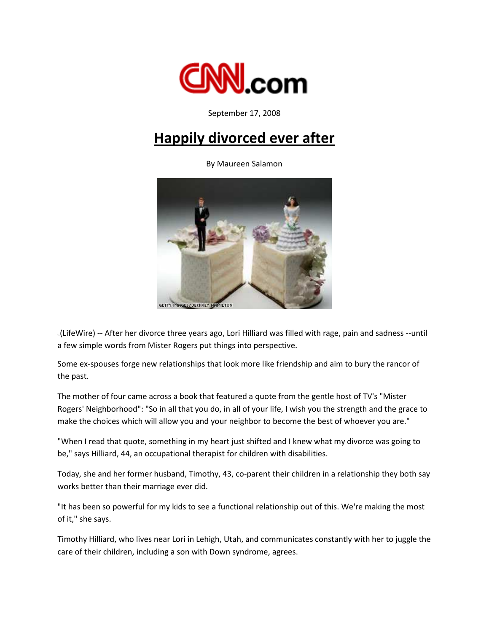

September 17, 2008

## **Happily divorced ever after**

By Maureen Salamon



(LifeWire) -- After her divorce three years ago, Lori Hilliard was filled with rage, pain and sadness --until a few simple words from Mister Rogers put things into perspective.

Some ex-spouses forge new relationships that look more like friendship and aim to bury the rancor of the past.

The mother of four came across a book that featured a quote from the gentle host of TV's "Mister Rogers' Neighborhood": "So in all that you do, in all of your life, I wish you the strength and the grace to make the choices which will allow you and your neighbor to become the best of whoever you are."

"When I read that quote, something in my heart just shifted and I knew what my divorce was going to be," says Hilliard, 44, an occupational therapist for children with disabilities.

Today, she and her former husband, Timothy, 43, co-parent their children in a relationship they both say works better than their marriage ever did.

"It has been so powerful for my kids to see a functional relationship out of this. We're making the most of it," she says.

Timothy Hilliard, who lives near Lori in Lehigh, Utah, and communicates constantly with her to juggle the care of their children, including a son with Down syndrome, agrees.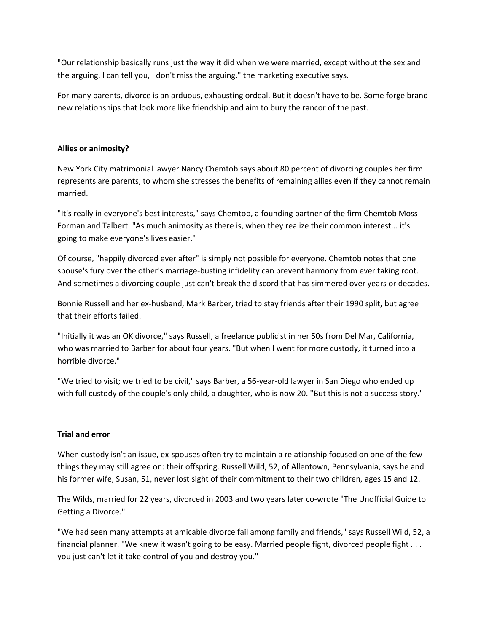"Our relationship basically runs just the way it did when we were married, except without the sex and the arguing. I can tell you, I don't miss the arguing," the marketing executive says.

For many parents, divorce is an arduous, exhausting ordeal. But it doesn't have to be. Some forge brandnew relationships that look more like friendship and aim to bury the rancor of the past.

## **Allies or animosity?**

New York City matrimonial lawyer Nancy Chemtob says about 80 percent of divorcing couples her firm represents are parents, to whom she stresses the benefits of remaining allies even if they cannot remain married.

"It's really in everyone's best interests," says Chemtob, a founding partner of the firm Chemtob Moss Forman and Talbert. "As much animosity as there is, when they realize their common interest... it's going to make everyone's lives easier."

Of course, "happily divorced ever after" is simply not possible for everyone. Chemtob notes that one spouse's fury over the other's marriage-busting infidelity can prevent harmony from ever taking root. And sometimes a divorcing couple just can't break the discord that has simmered over years or decades.

Bonnie Russell and her ex-husband, Mark Barber, tried to stay friends after their 1990 split, but agree that their efforts failed.

"Initially it was an OK divorce," says Russell, a freelance publicist in her 50s from Del Mar, California, who was married to Barber for about four years. "But when I went for more custody, it turned into a horrible divorce."

"We tried to visit; we tried to be civil," says Barber, a 56-year-old lawyer in San Diego who ended up with full custody of the couple's only child, a daughter, who is now 20. "But this is not a success story."

## **Trial and error**

When custody isn't an issue, ex-spouses often try to maintain a relationship focused on one of the few things they may still agree on: their offspring. Russell Wild, 52, of Allentown, Pennsylvania, says he and his former wife, Susan, 51, never lost sight of their commitment to their two children, ages 15 and 12.

The Wilds, married for 22 years, divorced in 2003 and two years later co-wrote "The Unofficial Guide to Getting a Divorce."

"We had seen many attempts at amicable divorce fail among family and friends," says Russell Wild, 52, a financial planner. "We knew it wasn't going to be easy. Married people fight, divorced people fight . . . you just can't let it take control of you and destroy you."